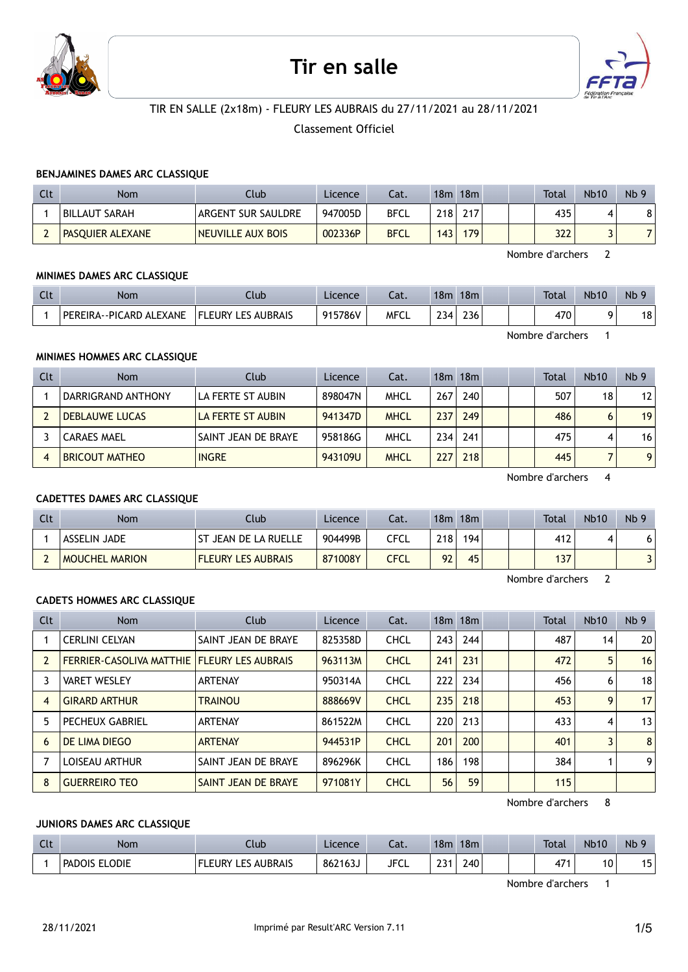

# Tir en salle



# TIR EN SALLE (2x18m) - FLEURY LES AUBRAIS du 27/11/2021 au 28/11/2021

Classement Officiel

#### BENJAMINES DAMES ARC CLASSIQUE

| Clt | <b>Nom</b>              | Club               | Licence | Cat.        | 18m | 18m |  | <b>Total</b> | <b>Nb10</b> | Nb <sub>9</sub> |
|-----|-------------------------|--------------------|---------|-------------|-----|-----|--|--------------|-------------|-----------------|
|     | BILLAUT SARAH           | ARGENT SUR SAULDRE | 947005D | <b>BFCL</b> | 218 | 217 |  | 435          |             |                 |
| ∸   | <b>PASOUIER ALEXANE</b> | NEUVILLE AUX BOIS  | 002336P | <b>BFCL</b> | 143 | 179 |  | 322          |             |                 |

Nombre d'archers 2

#### MINIMES DAMES ARC CLASSIQUE

| Clt | Nom                     | Club                      | Licence | Cat. | 18 <sub>m</sub>   | 18 <sub>m</sub> |  | <b>Total</b> | <b>Nb10</b> | Nb 9 |
|-----|-------------------------|---------------------------|---------|------|-------------------|-----------------|--|--------------|-------------|------|
|     | PEREIRA--PICARD ALEXANE | <b>FLEURY LES AUBRAIS</b> | 915786V | MFCL | ำ34⊥<br><b>LJ</b> | 236             |  | 470          |             | 18   |

Nombre d'archers 1

#### MINIMES HOMMES ARC CLASSIQUE

| Clt | <b>Nom</b>            | Club                | Licence | Cat.        |     | $18m$ 18 $m$ |  | Total | <b>Nb10</b> | Nb <sub>9</sub> |
|-----|-----------------------|---------------------|---------|-------------|-----|--------------|--|-------|-------------|-----------------|
|     | DARRIGRAND ANTHONY    | LA FERTE ST AUBIN   | 898047N | MHCL        | 267 | 240          |  | 507   | 18          | 12 <sup>1</sup> |
|     | <b>DEBLAUWE LUCAS</b> | LA FERTE ST AUBIN   | 941347D | <b>MHCL</b> | 237 | 249          |  | 486   | 6           | 19 <sup>1</sup> |
|     | <b>CARAES MAEL</b>    | SAINT JEAN DE BRAYE | 958186G | <b>MHCL</b> | 234 | 241          |  | 475   | 4           | 16 <sup>1</sup> |
|     | <b>BRICOUT MATHEO</b> | <b>INGRE</b>        | 943109U | <b>MHCL</b> | 227 | 218          |  | 445   |             | 9 <sup>1</sup>  |

Nombre d'archers 4

# CADETTES DAMES ARC CLASSIQUE

| Clt | Nom                   | Club                      | Licence | Cat. | 18m | 18m |  | <b>Total</b> | <b>Nb10</b> | Nb <sub>9</sub> |
|-----|-----------------------|---------------------------|---------|------|-----|-----|--|--------------|-------------|-----------------|
|     | ASSELIN JADE          | I ST JEAN DE LA RUELLE    | 904499B | CFCL | 218 | 194 |  | 412          |             | 61              |
|     | <b>MOUCHEL MARION</b> | <b>FLEURY LES AUBRAIS</b> | 871008Y | CFCL | 92  | 45  |  | 137          |             | 3               |

Nombre d'archers 2

# CADETS HOMMES ARC CLASSIQUE

| <b>Clt</b> | <b>Nom</b>                                         | Club                | Licence | Cat.        |     | 18m 18m |  | Total | <b>Nb10</b> | Nb <sub>9</sub> |
|------------|----------------------------------------------------|---------------------|---------|-------------|-----|---------|--|-------|-------------|-----------------|
|            | <b>CERLINI CELYAN</b>                              | SAINT JEAN DE BRAYE | 825358D | <b>CHCL</b> | 243 | 244     |  | 487   | 14          | 20 <sup>2</sup> |
|            | <b>FERRIER-CASOLIVA MATTHIE FLEURY LES AUBRAIS</b> |                     | 963113M | <b>CHCL</b> | 241 | 231     |  | 472   | 5           | 16              |
|            | <b>VARET WESLEY</b>                                | <b>ARTENAY</b>      | 950314A | <b>CHCL</b> | 222 | 234     |  | 456   | 6           | 18 <sup>1</sup> |
| 4          | <b>GIRARD ARTHUR</b>                               | <b>TRAINOU</b>      | 888669V | <b>CHCL</b> | 235 | 218     |  | 453   | 9           | 17 <sup>1</sup> |
| 5          | <b>PECHEUX GABRIEL</b>                             | <b>ARTENAY</b>      | 861522M | <b>CHCL</b> | 220 | 213     |  | 433   | 4           | 13              |
| 6          | DE LIMA DIEGO                                      | <b>ARTENAY</b>      | 944531P | <b>CHCL</b> | 201 | 200     |  | 401   |             | 8 <sup>1</sup>  |
|            | <b>LOISEAU ARTHUR</b>                              | SAINT JEAN DE BRAYE | 896296K | <b>CHCL</b> | 186 | 198     |  | 384   |             | 9               |
| 8          | <b>GUERREIRO TEO</b>                               | SAINT JEAN DE BRAYE | 971081Y | <b>CHCL</b> | 56  | 59      |  | 115   |             |                 |

Nombre d'archers 8

#### JUNIORS DAMES ARC CLASSIQUE

| $\Gamma$<br>นเ | <b>Nom</b>              | Ilub                                   | Licence | Cat.        | 18m                  | 18 <sub>m</sub> |  | <b>Total</b>    | <b>Nb10</b> | Nb         |
|----------------|-------------------------|----------------------------------------|---------|-------------|----------------------|-----------------|--|-----------------|-------------|------------|
|                | ELODIE<br><b>PADOIS</b> | <b>AUBRAIS</b><br>. FS<br>_EURY<br>. . | 862163J | <b>JFCL</b> | 224<br>ر ے<br>$\sim$ | 240             |  | 47 <sup>′</sup> | 10          | 1 E<br>. . |

Nombre d'archers 1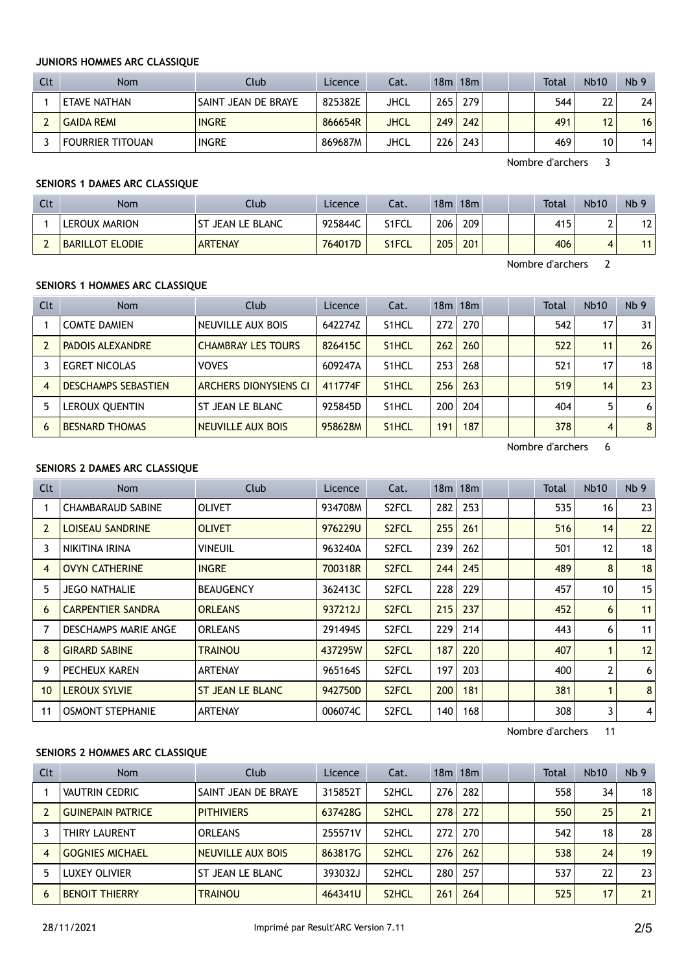#### JUNIORS HOMMES ARC CLASSIQUE

| Clt | <b>Nom</b>              | Club <sup>1</sup>   | Licence | Cat. | 18m  | 18m |  | <b>Total</b> | <b>Nb10</b> | Nb <sub>9</sub> |
|-----|-------------------------|---------------------|---------|------|------|-----|--|--------------|-------------|-----------------|
|     | <b>ETAVE NATHAN</b>     | SAINT JEAN DE BRAYE | 825382E | JHCL | 2651 | 279 |  | 544          | 22          | 24              |
|     | <b>GAIDA REMI</b>       | <b>INGRE</b>        | 866654R | JHCL | 249  | 242 |  | 491          | 12          | 16              |
|     | <b>FOURRIER TITOUAN</b> | <b>INGRE</b>        | 869687M | JHCL | 2261 | 243 |  | 469          | 10          | 14              |

Nombre d'archers 3

# SENIORS 1 DAMES ARC CLASSIQUE

| Clt | <b>Nom</b>             | Club             | Licence | Cat.  | 18m | 18m |  | Total | <b>Nb10</b> | Nb <sub>9</sub> |
|-----|------------------------|------------------|---------|-------|-----|-----|--|-------|-------------|-----------------|
|     | LEROUX MARION          | ST JEAN LE BLANC | 925844C | S1FCL | 206 | 209 |  | 415   | <b>_</b>    | 12 <sub>1</sub> |
|     | <b>BARILLOT ELODIE</b> | <b>ARTENAY</b>   | 764017D | S1FCL | 205 | 201 |  | 406   |             |                 |

Nombre d'archers 2

# SENIORS 1 HOMMES ARC CLASSIQUE

| Clt            | <b>Nom</b>                 | Club                      | Licence | Cat.               |     | 18m 18m |  | Total | <b>Nb10</b> | Nb <sub>9</sub> |
|----------------|----------------------------|---------------------------|---------|--------------------|-----|---------|--|-------|-------------|-----------------|
|                | <b>COMTE DAMIEN</b>        | NEUVILLE AUX BOIS         | 642274Z | S <sub>1</sub> HCL | 272 | 270     |  | 542   | 17          | 31              |
|                | <b>PADOIS ALEXANDRE</b>    | <b>CHAMBRAY LES TOURS</b> | 826415C | S <sub>1</sub> HCL | 262 | 260     |  | 522   | 11          | 26              |
|                | <b>EGRET NICOLAS</b>       | <b>VOVES</b>              | 609247A | S <sub>1</sub> HCL | 253 | 268     |  | 521   | 17          | 18 <sup>1</sup> |
| $\overline{4}$ | <b>DESCHAMPS SEBASTIEN</b> | ARCHERS DIONYSIENS CI     | 411774F | S <sub>1</sub> HCL | 256 | 263     |  | 519   | 14          | 23 <sup>1</sup> |
|                | LEROUX QUENTIN             | ST JEAN LE BLANC          | 925845D | S <sub>1</sub> HCL | 200 | 204     |  | 404   | 5.          | 6 <sup>1</sup>  |
| 6              | <b>BESNARD THOMAS</b>      | NEUVILLE AUX BOIS         | 958628M | S <sub>1</sub> HCL | 191 | 187     |  | 378   | 4           | 8 <sup>1</sup>  |

Nombre d'archers 6

# SENIORS 2 DAMES ARC CLASSIQUE

| Clt          | <b>Nom</b>               | Club             | Licence | Cat.               |     | 18m 18m |  | Total | <b>Nb10</b>  | Nb <sub>9</sub> |
|--------------|--------------------------|------------------|---------|--------------------|-----|---------|--|-------|--------------|-----------------|
|              | <b>CHAMBARAUD SABINE</b> | <b>OLIVET</b>    | 934708M | S <sub>2</sub> FCL | 282 | 253     |  | 535   | 16           | 23              |
| $\mathbf{2}$ | <b>LOISEAU SANDRINE</b>  | <b>OLIVET</b>    | 976229U | S <sub>2</sub> FCL | 255 | 261     |  | 516   | 14           | 22              |
| 3            | NIKITINA IRINA           | <b>VINEUIL</b>   | 963240A | S2FCL              | 239 | 262     |  | 501   | 12           | 18              |
| 4            | <b>OVYN CATHERINE</b>    | <b>INGRE</b>     | 700318R | S <sub>2</sub> FCL | 244 | 245     |  | 489   | 8            | 18              |
| 5            | <b>JEGO NATHALIE</b>     | <b>BEAUGENCY</b> | 362413C | S2FCL              | 228 | 229     |  | 457   | 10           | 15              |
| 6            | <b>CARPENTIER SANDRA</b> | <b>ORLEANS</b>   | 937212J | S <sub>2</sub> FCL | 215 | 237     |  | 452   | 6            | 11              |
|              | DESCHAMPS MARIE ANGE     | <b>ORLEANS</b>   | 291494S | S <sub>2</sub> FCL | 229 | 214     |  | 443   | 6            | 11              |
| 8            | <b>GIRARD SABINE</b>     | <b>TRAINOU</b>   | 437295W | S <sub>2</sub> FCL | 187 | 220     |  | 407   | 1            | 12              |
| 9            | PECHEUX KAREN            | <b>ARTENAY</b>   | 965164S | S <sub>2</sub> FCL | 197 | 203     |  | 400   | 2            | 6               |
| 10           | <b>LEROUX SYLVIE</b>     | ST JEAN LE BLANC | 942750D | S <sub>2</sub> FCL | 200 | 181     |  | 381   | $\mathbf{1}$ | 8               |
| 11           | <b>OSMONT STEPHANIE</b>  | <b>ARTENAY</b>   | 006074C | S2FCL              | 140 | 168     |  | 308   | 3            | $\overline{4}$  |

Nombre d'archers 11

# SENIORS 2 HOMMES ARC CLASSIQUE

| Clt            | Nom                      | Club                | Licence | Cat.               |     | $18m$ 18 $m$ |  | Total | <b>Nb10</b> | Nb <sub>9</sub> |
|----------------|--------------------------|---------------------|---------|--------------------|-----|--------------|--|-------|-------------|-----------------|
|                | <b>VAUTRIN CEDRIC</b>    | SAINT JEAN DE BRAYE | 315852T | S2HCL              | 276 | 282          |  | 558   | 34          | 18 <sup>1</sup> |
|                | <b>GUINEPAIN PATRICE</b> | <b>PITHIVIERS</b>   | 637428G | S <sub>2</sub> HCL | 278 | 272          |  | 550   | 25          | 21              |
|                | THIRY LAURENT            | <b>ORLEANS</b>      | 255571V | S2HCL              | 272 | 270          |  | 542   | 18          | 28              |
| $\overline{4}$ | <b>GOGNIES MICHAEL</b>   | NEUVILLE AUX BOIS   | 863817G | S <sub>2</sub> HCL | 276 | 262          |  | 538   | 24          | 19 <sub>1</sub> |
|                | LUXEY OLIVIER            | ST JEAN LE BLANC    | 393032J | S <sub>2</sub> HCL | 280 | 257          |  | 537   | 22          | 23              |
| 6              | <b>BENOIT THIERRY</b>    | <b>TRAINOU</b>      | 464341U | S <sub>2</sub> HCL | 261 | 264          |  | 525   | 17          | 21              |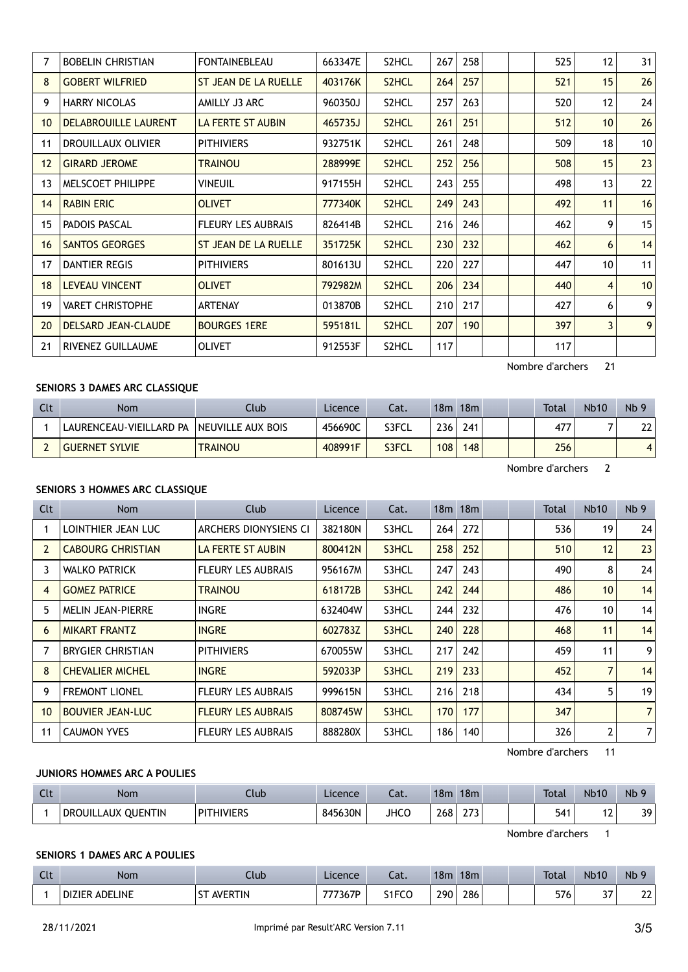|                 | <b>BOBELIN CHRISTIAN</b>   | <b>FONTAINEBLEAU</b>        | 663347E | S2HCL              | 267 | 258 | 525              | $12 \overline{ }$ | 31 |
|-----------------|----------------------------|-----------------------------|---------|--------------------|-----|-----|------------------|-------------------|----|
| 8               | <b>GOBERT WILFRIED</b>     | ST JEAN DE LA RUELLE        | 403176K | S <sub>2</sub> HCL | 264 | 257 | 521              | 15                | 26 |
| 9               | <b>HARRY NICOLAS</b>       | AMILLY J3 ARC               | 960350J | S2HCL              | 257 | 263 | 520              | 12                | 24 |
| 10 <sup>°</sup> | DELABROUILLE LAURENT       | LA FERTE ST AUBIN           | 465735J | S <sub>2</sub> HCL | 261 | 251 | 512              | 10 <sup>°</sup>   | 26 |
| 11              | <b>DROUILLAUX OLIVIER</b>  | <b>PITHIVIERS</b>           | 932751K | S2HCL              | 261 | 248 | 509              | 18                | 10 |
| 12              | <b>GIRARD JEROME</b>       | <b>TRAINOU</b>              | 288999E | S <sub>2</sub> HCL | 252 | 256 | 508              | 15                | 23 |
| 13              | MELSCOET PHILIPPE          | Vineuil                     | 917155H | S2HCL              | 243 | 255 | 498              | 13                | 22 |
| 14              | <b>RABIN ERIC</b>          | <b>OLIVET</b>               | 777340K | S <sub>2</sub> HCL | 249 | 243 | 492              | 11                | 16 |
| 15              | PADOIS PASCAL              | <b>FLEURY LES AUBRAIS</b>   | 826414B | S2HCL              | 216 | 246 | 462              | 9                 | 15 |
| 16              | <b>SANTOS GEORGES</b>      | <b>ST JEAN DE LA RUELLE</b> | 351725K | S <sub>2</sub> HCL | 230 | 232 | 462              | 6                 | 14 |
| 17              | DANTIER REGIS              | <b>PITHIVIERS</b>           | 801613U | S2HCL              | 220 | 227 | 447              | 10                | 11 |
| 18              | <b>LEVEAU VINCENT</b>      | <b>OLIVET</b>               | 792982M | S <sub>2</sub> HCL | 206 | 234 | 440              | 4                 | 10 |
| 19              | <b>VARET CHRISTOPHE</b>    | <b>ARTENAY</b>              | 013870B | S2HCL              | 210 | 217 | 427              | 6                 | 9  |
| 20              | <b>DELSARD JEAN-CLAUDE</b> | <b>BOURGES 1ERE</b>         | 595181L | S <sub>2</sub> HCL | 207 | 190 | 397              | $\overline{3}$    | 9  |
| 21              | RIVENEZ GUILLAUME          | <b>OLIVET</b>               | 912553F | S2HCL              | 117 |     | 117              |                   |    |
|                 |                            |                             |         |                    |     |     | Nombre d'archers | 21                |    |

# SENIORS 3 DAMES ARC CLASSIQUE

| Clt | Nom                     | Club              | Licence | Cat.  | 18m              | 18m |  | <b>Total</b> | <b>Nb10</b> | Nb <sub>9</sub> |
|-----|-------------------------|-------------------|---------|-------|------------------|-----|--|--------------|-------------|-----------------|
|     | LAURENCEAU-VIEILLARD PA | NEUVILLE AUX BOIS | 456690C | S3FCL | 236 <sub>1</sub> | 241 |  | 477          |             | 22 <sub>1</sub> |
|     | <b>GUERNET SYLVIE</b>   | <b>TRAINOU</b>    | 408991F | S3FCL | 108              | 148 |  | 256          |             |                 |

Nombre d'archers 2

#### SENIORS 3 HOMMES ARC CLASSIQUE

| Clt | Nom                      | <b>Club</b>               | Licence | Cat.  |     | 18m 18m |  | Total | <b>Nb10</b>     | Nb <sub>9</sub> |
|-----|--------------------------|---------------------------|---------|-------|-----|---------|--|-------|-----------------|-----------------|
|     | LOINTHIER JEAN LUC       | ARCHERS DIONYSIENS CI     | 382180N | S3HCL | 264 | 272     |  | 536   | 19              | 24              |
| 2   | <b>CABOURG CHRISTIAN</b> | LA FERTE ST AUBIN         | 800412N | S3HCL | 258 | 252     |  | 510   | 12              | 23              |
| 3.  | <b>WALKO PATRICK</b>     | <b>FLEURY LES AUBRAIS</b> | 956167M | S3HCL | 247 | 243     |  | 490   | 8               | 24              |
| 4   | <b>GOMEZ PATRICE</b>     | <b>TRAINOU</b>            | 618172B | S3HCL | 242 | 244     |  | 486   | 10 <sup>°</sup> | 14              |
| 5   | <b>MELIN JEAN-PIERRE</b> | <b>INGRE</b>              | 632404W | S3HCL | 244 | 232     |  | 476   | 10              | 14              |
| 6   | <b>MIKART FRANTZ</b>     | <b>INGRE</b>              | 602783Z | S3HCL | 240 | 228     |  | 468   | 11              | 14              |
|     | <b>BRYGIER CHRISTIAN</b> | <b>PITHIVIERS</b>         | 670055W | S3HCL | 217 | 242     |  | 459   | 11              | 9               |
| 8   | <b>CHEVALIER MICHEL</b>  | <b>INGRE</b>              | 592033P | S3HCL | 219 | 233     |  | 452   | $\overline{7}$  | 14              |
| 9   | <b>FREMONT LIONEL</b>    | <b>FLEURY LES AUBRAIS</b> | 999615N | S3HCL | 216 | 218     |  | 434   | 5               | 19              |
| 10  | <b>BOUVIER JEAN-LUC</b>  | <b>FLEURY LES AUBRAIS</b> | 808745W | S3HCL | 170 | 177     |  | 347   |                 | $\overline{7}$  |
| 11  | <b>CAUMON YVES</b>       | <b>FLEURY LES AUBRAIS</b> | 888280X | S3HCL | 186 | 140     |  | 326   | 2               | $\overline{7}$  |

Nombre d'archers 11

#### JUNIORS HOMMES ARC A POULIES

| Clt | <b>Nom</b>         | Club              | Licence | Cat.        | 18m | 18 <sub>m</sub>        |  | <b>Total</b> | <b>Nb10</b>                            | Nb             |
|-----|--------------------|-------------------|---------|-------------|-----|------------------------|--|--------------|----------------------------------------|----------------|
|     | DROUILLAUX QUENTIN | <b>PITHIVIERS</b> | 845630N | <b>JHCC</b> | 268 | $\sim$ $\sim$<br>د ر ړ |  | 541          | $\overline{\phantom{a}}$<br>$\epsilon$ | ٦q<br><u>.</u> |

Nombre d'archers 1

# SENIORS 1 DAMES ARC A POULIES

| C14<br>ี เเ | Nom            | Club                  | Licence      | -1<br>∟aι. | 18 <sub>m</sub> | 18 <sub>m</sub> | <b>Total</b> | <b>Nb10</b>          | Nb          |
|-------------|----------------|-----------------------|--------------|------------|-----------------|-----------------|--------------|----------------------|-------------|
|             | DIZIER ADELINE | <b>AVERTIN</b><br>$-$ | 7367P<br>777 | S1FCC      | 290             | 286             | 576          | 77<br>$\cdot$<br>J 1 | ו הר<br>∠∠∣ |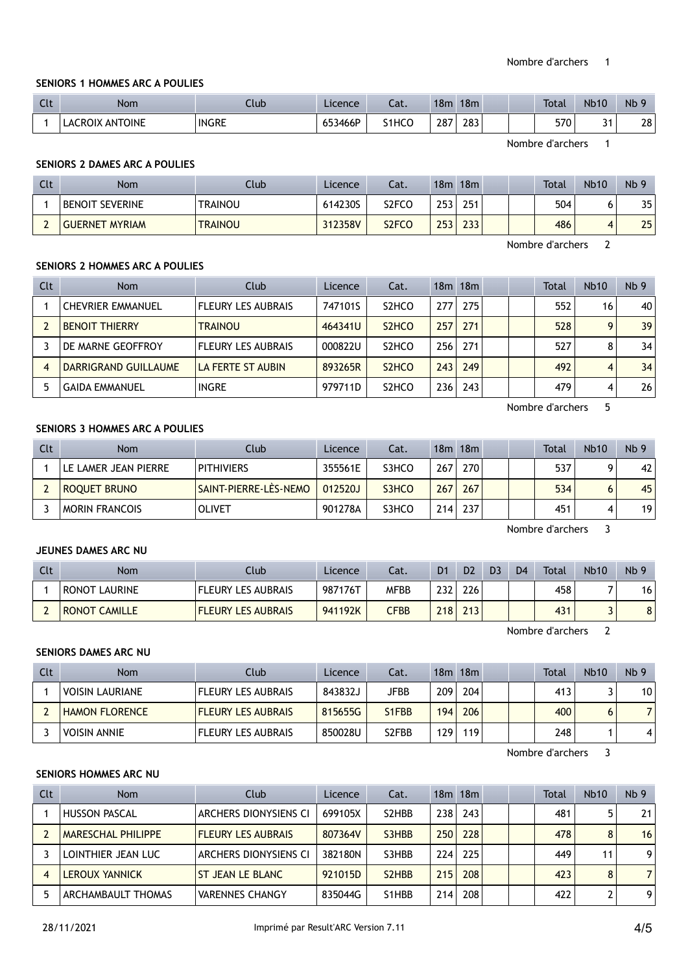#### SENIORS 1 HOMMES ARC A POULIES

| Clt | <b>Nom</b>                          | lub          | Licence | $\sim$<br>Jal.     | 18m | 18 <sub>m</sub> |  | <b>Total</b> | <b>Nb10</b>        | Nb<br>$\alpha$ |
|-----|-------------------------------------|--------------|---------|--------------------|-----|-----------------|--|--------------|--------------------|----------------|
|     | <b>ANTOINE</b><br>אוני<br>_AC<br>к١ | <b>INGRE</b> | 653466P | S <sub>1</sub> HCO | 287 | 283             |  | 570          | $\sim$ $\sim$<br>٠ | 28             |

Nombre d'archers 1

#### SENIORS 2 DAMES ARC A POULIES

| Clt | Nom                    | Club           | Licence | Cat.               | 18m | 18 <sub>m</sub> |  | <b>Total</b> | <b>Nb10</b> | Nb <sub>9</sub> |
|-----|------------------------|----------------|---------|--------------------|-----|-----------------|--|--------------|-------------|-----------------|
|     | <b>BENOIT SEVERINE</b> | TRAINOU        | 614230S | S2FCO              | 253 | 251             |  | 504          |             | 35              |
|     | <b>GUERNET MYRIAM</b>  | <b>TRAINOU</b> | 312358V | S <sub>2</sub> FCO | 253 | 233             |  | 486          |             | 25              |

Nombre d'archers 2

#### SENIORS 2 HOMMES ARC A POULIES

| Clt | Nom                      | Club                      | Licence | Cat.                           |     | 18m 18m |  | Total | <b>Nb10</b>  | Nb <sub>9</sub> |
|-----|--------------------------|---------------------------|---------|--------------------------------|-----|---------|--|-------|--------------|-----------------|
|     | <b>CHEVRIER EMMANUEL</b> | <b>FLEURY LES AUBRAIS</b> | 747101S | S <sub>2</sub> HCO             | 277 | 275     |  | 552   | 16           | 40              |
|     | <b>BENOIT THIERRY</b>    | <b>TRAINOU</b>            | 464341U | S <sub>2</sub> H <sub>CO</sub> | 257 | 271     |  | 528   | $\mathbf{Q}$ | 39              |
|     | DE MARNE GEOFFROY        | <b>FLEURY LES AUBRAIS</b> | 000822U | S <sub>2</sub> HCO             | 256 | 271     |  | 527   |              | 34              |
|     | DARRIGRAND GUILLAUME     | LA FERTE ST AUBIN         | 893265R | S <sub>2</sub> H <sub>CO</sub> | 243 | 249     |  | 492   | 4            | 34              |
|     | <b>GAIDA EMMANUEL</b>    | <b>INGRE</b>              | 979711D | S <sub>2</sub> HCO             | 236 | 243     |  | 479   | 4            | 26              |

Nombre d'archers 5

### SENIORS 3 HOMMES ARC A POULIES

| Clt | <b>Nom</b>           | Club                         | Licence | Cat.  |     | 18m 18m |  | <b>Total</b> | <b>Nb10</b> | Nb <sub>9</sub> |
|-----|----------------------|------------------------------|---------|-------|-----|---------|--|--------------|-------------|-----------------|
|     | LE LAMER JEAN PIERRE | <b>PITHIVIERS</b>            | 355561E | S3HCO | 267 | 270     |  | 537          |             | 42              |
|     | <b>ROOUET BRUNO</b>  | <b>SAINT-PIERRE-LES-NEMO</b> | 012520J | S3HCO | 267 | 267     |  | 534          |             | 45              |
|     | MORIN FRANCOIS       | <b>OLIVET</b>                | 901278A | S3HCO | 214 | 237     |  | 451          |             | 19 <sup>1</sup> |

Nombre d'archers 3

# JEUNES DAMES ARC NU

| Clt | Nom                  | Club                      | Licence   | Cat.         | D <sub>1</sub> | D <sub>2</sub> | D <sub>3</sub> | D <sub>4</sub> | <b>Total</b> | <b>Nb10</b> | Nb <sub>9</sub> |
|-----|----------------------|---------------------------|-----------|--------------|----------------|----------------|----------------|----------------|--------------|-------------|-----------------|
|     | <b>RONOT LAURINE</b> | <b>FLEURY LES AUBRAIS</b> | . 987176T | <b>MFBB</b>  | 232            | 226            |                |                | 458          |             | 16              |
|     | <b>RONOT CAMILLE</b> | <b>FLEURY LES AUBRAIS</b> | 941192K   | ${\sf CFBB}$ | 218            | 213            |                |                | 431          |             | 8               |

Nombre d'archers 2

#### SENIORS DAMES ARC NU

| Clt | Nom                    | Club <sup>1</sup>         | Licence | Cat.                            |     | $18m$ 18 $m$ |  | Total | <b>Nb10</b> | Nb <sub>9</sub> |
|-----|------------------------|---------------------------|---------|---------------------------------|-----|--------------|--|-------|-------------|-----------------|
|     | <b>VOISIN LAURIANE</b> | <b>FLEURY LES AUBRAIS</b> | 843832J | JFBB                            | 209 | 204          |  | 413   |             | 10 <sup>1</sup> |
|     | <b>HAMON FLORENCE</b>  | <b>FLEURY LES AUBRAIS</b> | 815655G | S <sub>1</sub> F <sub>B</sub> B | 194 | 206          |  | 400   |             | $\overline{ }$  |
|     | I VOISIN ANNIE         | <b>FLEURY LES AUBRAIS</b> | 850028U | S <sub>2</sub> FBB              | 129 | 119          |  | 248   |             | 41              |

Nombre d'archers 3

#### SENIORS HOMMES ARC NU

| Clt | <b>Nom</b>                | Club                      | Licence | Cat.                            |     | 18m 18m |  | <b>Total</b> | <b>Nb10</b> | Nb <sub>9</sub> |
|-----|---------------------------|---------------------------|---------|---------------------------------|-----|---------|--|--------------|-------------|-----------------|
|     | <b>HUSSON PASCAL</b>      | ARCHERS DIONYSIENS CI     | 699105X | S <sub>2</sub> H <sub>B</sub> B | 238 | 243     |  | 481          |             | 21              |
|     | <b>MARESCHAL PHILIPPE</b> | <b>FLEURY LES AUBRAIS</b> | 807364V | S3HBB                           | 250 | 228     |  | 478          | 8           | 16              |
|     | LOINTHIER JEAN LUC        | ARCHERS DIONYSIENS CI     | 382180N | S3HBB                           | 224 | 225     |  | 449          | 11          | 9               |
|     | <b>LEROUX YANNICK</b>     | ST JEAN LE BLANC          | 921015D | S <sub>2</sub> H <sub>B</sub> B | 215 | 208     |  | 423          |             | 7               |
|     | ARCHAMBAULT THOMAS        | <b>VARENNES CHANGY</b>    | 835044G | S1HBB                           | 214 | 208     |  | 422          |             | 9               |